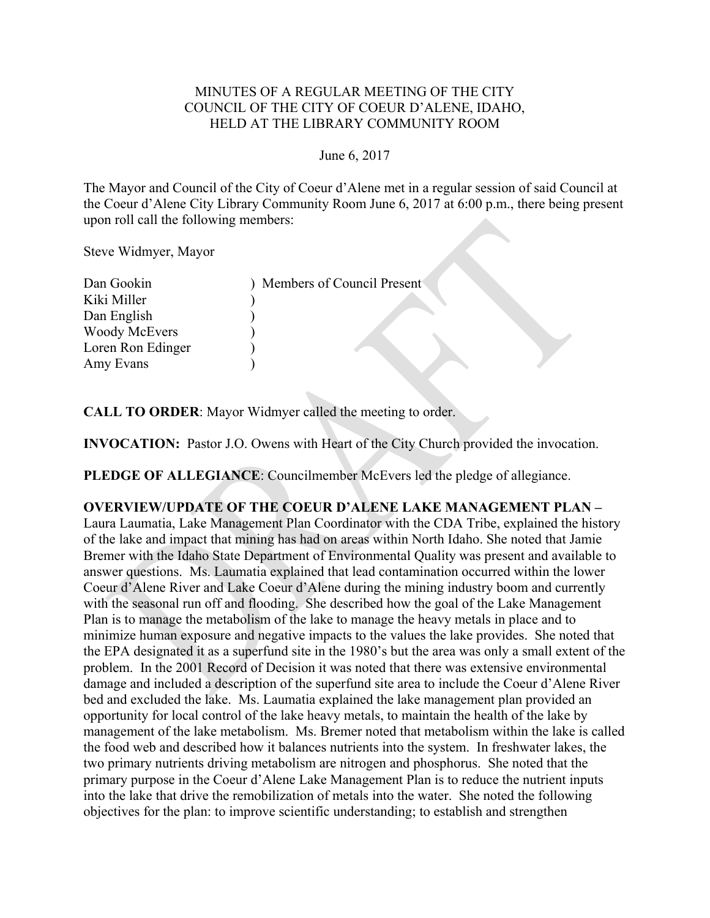### MINUTES OF A REGULAR MEETING OF THE CITY COUNCIL OF THE CITY OF COEUR D'ALENE, IDAHO, HELD AT THE LIBRARY COMMUNITY ROOM

#### June 6, 2017

The Mayor and Council of the City of Coeur d'Alene met in a regular session of said Council at the Coeur d'Alene City Library Community Room June 6, 2017 at 6:00 p.m., there being present upon roll call the following members:

Steve Widmyer, Mayor

| Dan Gookin           | Members of Council Present |
|----------------------|----------------------------|
| Kiki Miller          |                            |
| Dan English          |                            |
| <b>Woody McEvers</b> |                            |
| Loren Ron Edinger    |                            |
| Amy Evans            |                            |

**CALL TO ORDER**: Mayor Widmyer called the meeting to order.

**INVOCATION:** Pastor J.O. Owens with Heart of the City Church provided the invocation.

PLEDGE OF ALLEGIANCE: Councilmember McEvers led the pledge of allegiance.

# **OVERVIEW/UPDATE OF THE COEUR D'ALENE LAKE MANAGEMENT PLAN –**

Laura Laumatia, Lake Management Plan Coordinator with the CDA Tribe, explained the history of the lake and impact that mining has had on areas within North Idaho. She noted that Jamie Bremer with the Idaho State Department of Environmental Quality was present and available to answer questions. Ms. Laumatia explained that lead contamination occurred within the lower Coeur d'Alene River and Lake Coeur d'Alene during the mining industry boom and currently with the seasonal run off and flooding. She described how the goal of the Lake Management Plan is to manage the metabolism of the lake to manage the heavy metals in place and to minimize human exposure and negative impacts to the values the lake provides. She noted that the EPA designated it as a superfund site in the 1980's but the area was only a small extent of the problem. In the 2001 Record of Decision it was noted that there was extensive environmental damage and included a description of the superfund site area to include the Coeur d'Alene River bed and excluded the lake. Ms. Laumatia explained the lake management plan provided an opportunity for local control of the lake heavy metals, to maintain the health of the lake by management of the lake metabolism. Ms. Bremer noted that metabolism within the lake is called the food web and described how it balances nutrients into the system. In freshwater lakes, the two primary nutrients driving metabolism are nitrogen and phosphorus. She noted that the primary purpose in the Coeur d'Alene Lake Management Plan is to reduce the nutrient inputs into the lake that drive the remobilization of metals into the water. She noted the following objectives for the plan: to improve scientific understanding; to establish and strengthen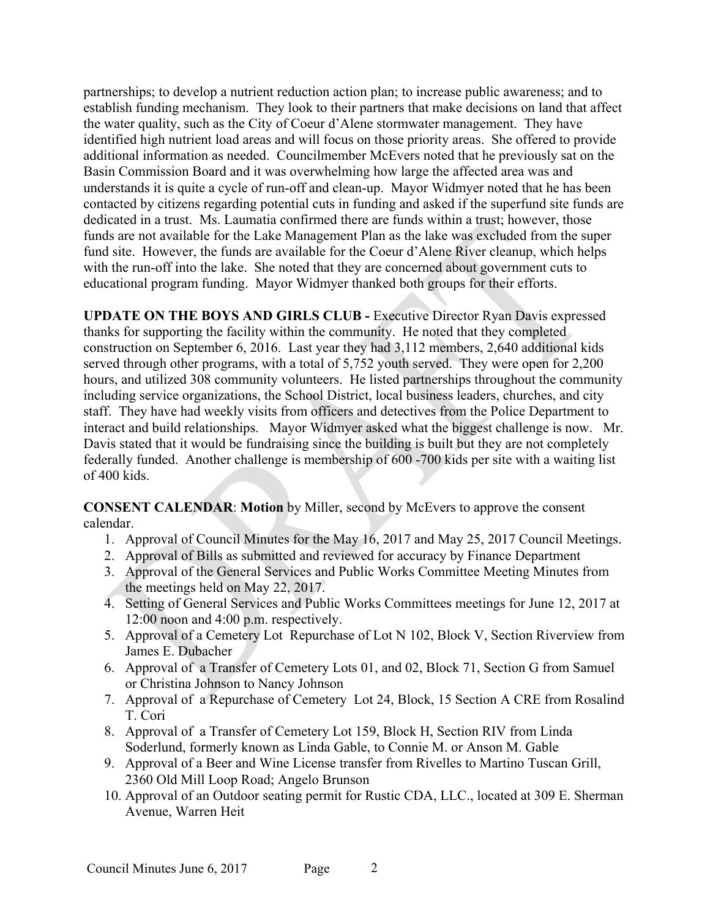partnerships; to develop a nutrient reduction action plan; to increase public awareness; and to establish funding mechanism. They look to their partners that make decisions on land that affect the water quality, such as the City of Coeur d'Alene stormwater management. They have identified high nutrient load areas and will focus on those priority areas. She offered to provide additional information as needed. Councilmember McEvers noted that he previously sat on the Basin Commission Board and it was overwhelming how large the affected area was and understands it is quite a cycle of run-off and clean-up. Mayor Widmyer noted that he has been contacted by citizens regarding potential cuts in funding and asked if the superfund site funds are dedicated in a trust. Ms. Laumatia confirmed there are funds within a trust; however, those funds are not available for the Lake Management Plan as the lake was excluded from the super fund site. However, the funds are available for the Coeur d'Alene River cleanup, which helps with the run-off into the lake. She noted that they are concerned about government cuts to educational program funding. Mayor Widmyer thanked both groups for their efforts.

**UPDATE ON THE BOYS AND GIRLS CLUB -** Executive Director Ryan Davis expressed thanks for supporting the facility within the community. He noted that they completed construction on September 6, 2016. Last year they had 3,112 members, 2,640 additional kids served through other programs, with a total of 5,752 youth served. They were open for 2,200 hours, and utilized 308 community volunteers. He listed partnerships throughout the community including service organizations, the School District, local business leaders, churches, and city staff. They have had weekly visits from officers and detectives from the Police Department to interact and build relationships. Mayor Widmyer asked what the biggest challenge is now. Mr. Davis stated that it would be fundraising since the building is built but they are not completely federally funded. Another challenge is membership of 600 -700 kids per site with a waiting list of 400 kids.

**CONSENT CALENDAR**: **Motion** by Miller, second by McEvers to approve the consent calendar.

- 1. Approval of Council Minutes for the May 16, 2017 and May 25, 2017 Council Meetings.
- 2. Approval of Bills as submitted and reviewed for accuracy by Finance Department
- 3. Approval of the General Services and Public Works Committee Meeting Minutes from the meetings held on May 22, 2017.
- 4. Setting of General Services and Public Works Committees meetings for June 12, 2017 at 12:00 noon and 4:00 p.m. respectively.
- 5. Approval of a Cemetery Lot Repurchase of Lot N 102, Block V, Section Riverview from James E. Dubacher
- 6. Approval of a Transfer of Cemetery Lots 01, and 02, Block 71, Section G from Samuel or Christina Johnson to Nancy Johnson
- 7. Approval of a Repurchase of Cemetery Lot 24, Block, 15 Section A CRE from Rosalind T. Cori
- 8. Approval of a Transfer of Cemetery Lot 159, Block H, Section RIV from Linda Soderlund, formerly known as Linda Gable, to Connie M. or Anson M. Gable
- 9. Approval of a Beer and Wine License transfer from Rivelles to Martino Tuscan Grill, 2360 Old Mill Loop Road; Angelo Brunson
- 10. Approval of an Outdoor seating permit for Rustic CDA, LLC., located at 309 E. Sherman Avenue, Warren Heit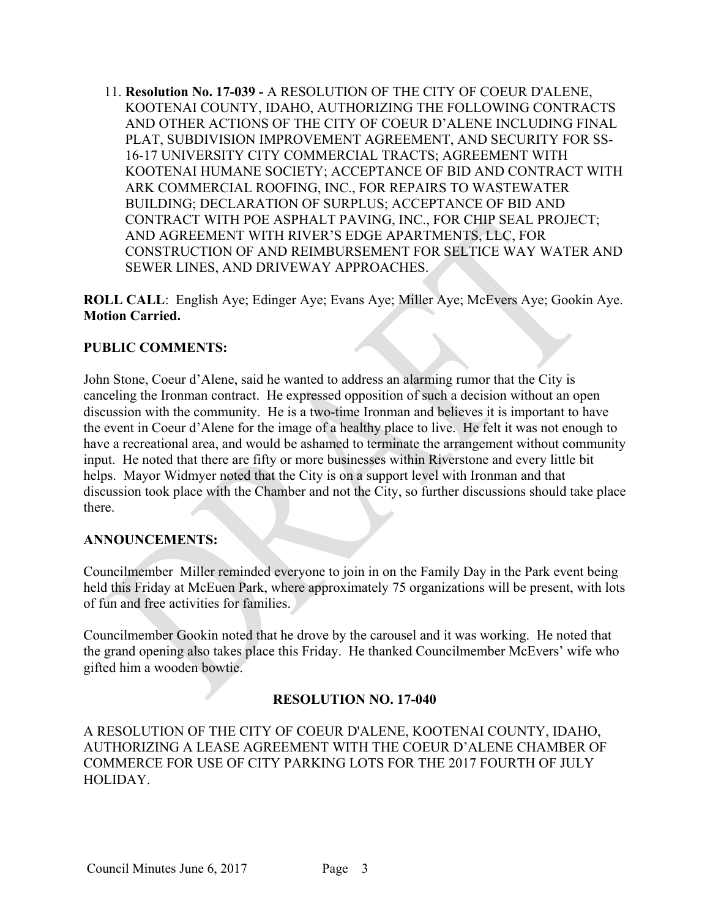11. **Resolution No. 17-039 -** A RESOLUTION OF THE CITY OF COEUR D'ALENE, KOOTENAI COUNTY, IDAHO, AUTHORIZING THE FOLLOWING CONTRACTS AND OTHER ACTIONS OF THE CITY OF COEUR D'ALENE INCLUDING FINAL PLAT, SUBDIVISION IMPROVEMENT AGREEMENT, AND SECURITY FOR SS-16-17 UNIVERSITY CITY COMMERCIAL TRACTS; AGREEMENT WITH KOOTENAI HUMANE SOCIETY; ACCEPTANCE OF BID AND CONTRACT WITH ARK COMMERCIAL ROOFING, INC., FOR REPAIRS TO WASTEWATER BUILDING; DECLARATION OF SURPLUS; ACCEPTANCE OF BID AND CONTRACT WITH POE ASPHALT PAVING, INC., FOR CHIP SEAL PROJECT; AND AGREEMENT WITH RIVER'S EDGE APARTMENTS, LLC, FOR CONSTRUCTION OF AND REIMBURSEMENT FOR SELTICE WAY WATER AND SEWER LINES, AND DRIVEWAY APPROACHES.

**ROLL CALL**: English Aye; Edinger Aye; Evans Aye; Miller Aye; McEvers Aye; Gookin Aye. **Motion Carried.** 

### **PUBLIC COMMENTS:**

John Stone, Coeur d'Alene, said he wanted to address an alarming rumor that the City is canceling the Ironman contract. He expressed opposition of such a decision without an open discussion with the community. He is a two-time Ironman and believes it is important to have the event in Coeur d'Alene for the image of a healthy place to live. He felt it was not enough to have a recreational area, and would be ashamed to terminate the arrangement without community input. He noted that there are fifty or more businesses within Riverstone and every little bit helps. Mayor Widmyer noted that the City is on a support level with Ironman and that discussion took place with the Chamber and not the City, so further discussions should take place there.

### **ANNOUNCEMENTS:**

Councilmember Miller reminded everyone to join in on the Family Day in the Park event being held this Friday at McEuen Park, where approximately 75 organizations will be present, with lots of fun and free activities for families.

Councilmember Gookin noted that he drove by the carousel and it was working. He noted that the grand opening also takes place this Friday. He thanked Councilmember McEvers' wife who gifted him a wooden bowtie.

### **RESOLUTION NO. 17-040**

A RESOLUTION OF THE CITY OF COEUR D'ALENE, KOOTENAI COUNTY, IDAHO, AUTHORIZING A LEASE AGREEMENT WITH THE COEUR D'ALENE CHAMBER OF COMMERCE FOR USE OF CITY PARKING LOTS FOR THE 2017 FOURTH OF JULY HOLIDAY.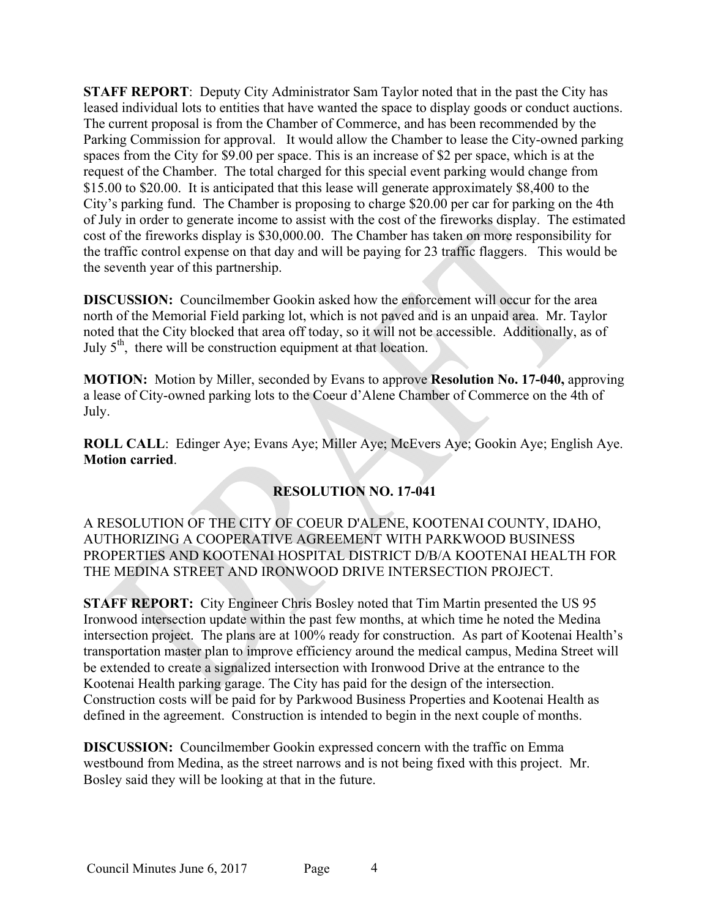**STAFF REPORT**: Deputy City Administrator Sam Taylor noted that in the past the City has leased individual lots to entities that have wanted the space to display goods or conduct auctions. The current proposal is from the Chamber of Commerce, and has been recommended by the Parking Commission for approval. It would allow the Chamber to lease the City-owned parking spaces from the City for \$9.00 per space. This is an increase of \$2 per space, which is at the request of the Chamber. The total charged for this special event parking would change from \$15.00 to \$20.00. It is anticipated that this lease will generate approximately \$8,400 to the City's parking fund. The Chamber is proposing to charge \$20.00 per car for parking on the 4th of July in order to generate income to assist with the cost of the fireworks display. The estimated cost of the fireworks display is \$30,000.00. The Chamber has taken on more responsibility for the traffic control expense on that day and will be paying for 23 traffic flaggers. This would be the seventh year of this partnership.

**DISCUSSION:** Councilmember Gookin asked how the enforcement will occur for the area north of the Memorial Field parking lot, which is not paved and is an unpaid area. Mr. Taylor noted that the City blocked that area off today, so it will not be accessible. Additionally, as of July  $5<sup>th</sup>$ , there will be construction equipment at that location.

**MOTION:** Motion by Miller, seconded by Evans to approve **Resolution No. 17-040,** approving a lease of City-owned parking lots to the Coeur d'Alene Chamber of Commerce on the 4th of July.

**ROLL CALL**: Edinger Aye; Evans Aye; Miller Aye; McEvers Aye; Gookin Aye; English Aye. **Motion carried**.

# **RESOLUTION NO. 17-041**

A RESOLUTION OF THE CITY OF COEUR D'ALENE, KOOTENAI COUNTY, IDAHO, AUTHORIZING A COOPERATIVE AGREEMENT WITH PARKWOOD BUSINESS PROPERTIES AND KOOTENAI HOSPITAL DISTRICT D/B/A KOOTENAI HEALTH FOR THE MEDINA STREET AND IRONWOOD DRIVE INTERSECTION PROJECT.

**STAFF REPORT:** City Engineer Chris Bosley noted that Tim Martin presented the US 95 Ironwood intersection update within the past few months, at which time he noted the Medina intersection project. The plans are at 100% ready for construction. As part of Kootenai Health's transportation master plan to improve efficiency around the medical campus, Medina Street will be extended to create a signalized intersection with Ironwood Drive at the entrance to the Kootenai Health parking garage. The City has paid for the design of the intersection. Construction costs will be paid for by Parkwood Business Properties and Kootenai Health as defined in the agreement. Construction is intended to begin in the next couple of months.

**DISCUSSION:** Councilmember Gookin expressed concern with the traffic on Emma westbound from Medina, as the street narrows and is not being fixed with this project. Mr. Bosley said they will be looking at that in the future.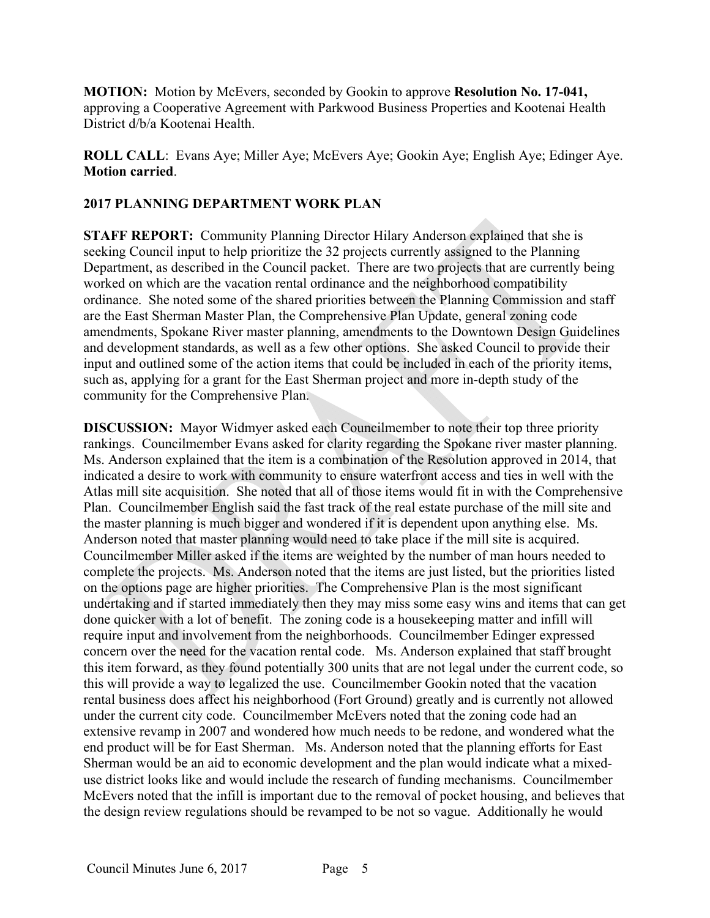**MOTION:** Motion by McEvers, seconded by Gookin to approve **Resolution No. 17-041,**  approving a Cooperative Agreement with Parkwood Business Properties and Kootenai Health District d/b/a Kootenai Health.

**ROLL CALL**: Evans Aye; Miller Aye; McEvers Aye; Gookin Aye; English Aye; Edinger Aye. **Motion carried**.

# **2017 PLANNING DEPARTMENT WORK PLAN**

**STAFF REPORT:** Community Planning Director Hilary Anderson explained that she is seeking Council input to help prioritize the 32 projects currently assigned to the Planning Department, as described in the Council packet. There are two projects that are currently being worked on which are the vacation rental ordinance and the neighborhood compatibility ordinance. She noted some of the shared priorities between the Planning Commission and staff are the East Sherman Master Plan, the Comprehensive Plan Update, general zoning code amendments, Spokane River master planning, amendments to the Downtown Design Guidelines and development standards, as well as a few other options. She asked Council to provide their input and outlined some of the action items that could be included in each of the priority items, such as, applying for a grant for the East Sherman project and more in-depth study of the community for the Comprehensive Plan.

**DISCUSSION:** Mayor Widmyer asked each Councilmember to note their top three priority rankings.Councilmember Evans asked for clarity regarding the Spokane river master planning. Ms. Anderson explained that the item is a combination of the Resolution approved in 2014, that indicated a desire to work with community to ensure waterfront access and ties in well with the Atlas mill site acquisition. She noted that all of those items would fit in with the Comprehensive Plan. Councilmember English said the fast track of the real estate purchase of the mill site and the master planning is much bigger and wondered if it is dependent upon anything else. Ms. Anderson noted that master planning would need to take place if the mill site is acquired. Councilmember Miller asked if the items are weighted by the number of man hours needed to complete the projects. Ms. Anderson noted that the items are just listed, but the priorities listed on the options page are higher priorities. The Comprehensive Plan is the most significant undertaking and if started immediately then they may miss some easy wins and items that can get done quicker with a lot of benefit. The zoning code is a housekeeping matter and infill will require input and involvement from the neighborhoods. Councilmember Edinger expressed concern over the need for the vacation rental code. Ms. Anderson explained that staff brought this item forward, as they found potentially 300 units that are not legal under the current code, so this will provide a way to legalized the use. Councilmember Gookin noted that the vacation rental business does affect his neighborhood (Fort Ground) greatly and is currently not allowed under the current city code. Councilmember McEvers noted that the zoning code had an extensive revamp in 2007 and wondered how much needs to be redone, and wondered what the end product will be for East Sherman. Ms. Anderson noted that the planning efforts for East Sherman would be an aid to economic development and the plan would indicate what a mixeduse district looks like and would include the research of funding mechanisms. Councilmember McEvers noted that the infill is important due to the removal of pocket housing, and believes that the design review regulations should be revamped to be not so vague. Additionally he would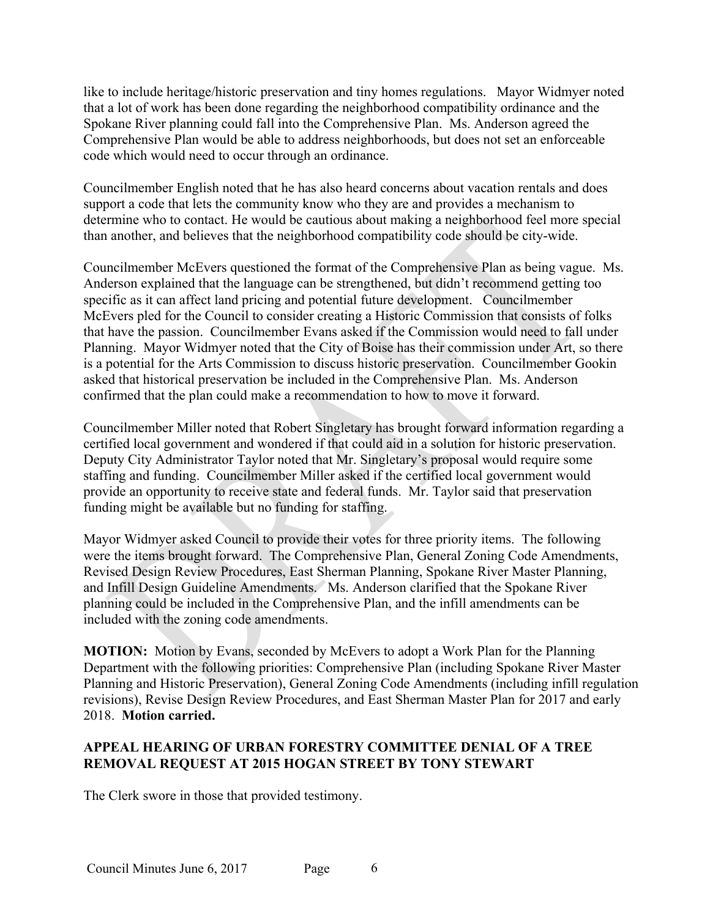like to include heritage/historic preservation and tiny homes regulations. Mayor Widmyer noted that a lot of work has been done regarding the neighborhood compatibility ordinance and the Spokane River planning could fall into the Comprehensive Plan. Ms. Anderson agreed the Comprehensive Plan would be able to address neighborhoods, but does not set an enforceable code which would need to occur through an ordinance.

Councilmember English noted that he has also heard concerns about vacation rentals and does support a code that lets the community know who they are and provides a mechanism to determine who to contact. He would be cautious about making a neighborhood feel more special than another, and believes that the neighborhood compatibility code should be city-wide.

Councilmember McEvers questioned the format of the Comprehensive Plan as being vague. Ms. Anderson explained that the language can be strengthened, but didn't recommend getting too specific as it can affect land pricing and potential future development. Councilmember McEvers pled for the Council to consider creating a Historic Commission that consists of folks that have the passion. Councilmember Evans asked if the Commission would need to fall under Planning. Mayor Widmyer noted that the City of Boise has their commission under Art, so there is a potential for the Arts Commission to discuss historic preservation. Councilmember Gookin asked that historical preservation be included in the Comprehensive Plan. Ms. Anderson confirmed that the plan could make a recommendation to how to move it forward.

Councilmember Miller noted that Robert Singletary has brought forward information regarding a certified local government and wondered if that could aid in a solution for historic preservation. Deputy City Administrator Taylor noted that Mr. Singletary's proposal would require some staffing and funding. Councilmember Miller asked if the certified local government would provide an opportunity to receive state and federal funds. Mr. Taylor said that preservation funding might be available but no funding for staffing.

Mayor Widmyer asked Council to provide their votes for three priority items. The following were the items brought forward. The Comprehensive Plan, General Zoning Code Amendments, Revised Design Review Procedures, East Sherman Planning, Spokane River Master Planning, and Infill Design Guideline Amendments. Ms. Anderson clarified that the Spokane River planning could be included in the Comprehensive Plan, and the infill amendments can be included with the zoning code amendments.

**MOTION:** Motion by Evans, seconded by McEvers to adopt a Work Plan for the Planning Department with the following priorities: Comprehensive Plan (including Spokane River Master Planning and Historic Preservation), General Zoning Code Amendments (including infill regulation revisions), Revise Design Review Procedures, and East Sherman Master Plan for 2017 and early 2018. **Motion carried.** 

# **APPEAL HEARING OF URBAN FORESTRY COMMITTEE DENIAL OF A TREE REMOVAL REQUEST AT 2015 HOGAN STREET BY TONY STEWART**

The Clerk swore in those that provided testimony.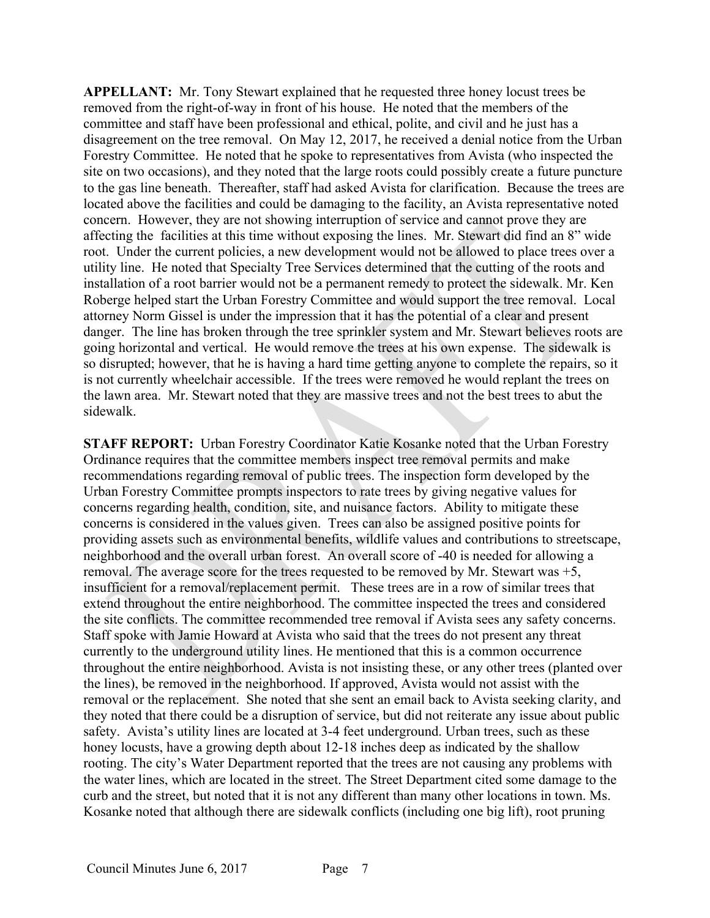**APPELLANT:** Mr. Tony Stewart explained that he requested three honey locust trees be removed from the right-of-way in front of his house. He noted that the members of the committee and staff have been professional and ethical, polite, and civil and he just has a disagreement on the tree removal. On May 12, 2017, he received a denial notice from the Urban Forestry Committee. He noted that he spoke to representatives from Avista (who inspected the site on two occasions), and they noted that the large roots could possibly create a future puncture to the gas line beneath. Thereafter, staff had asked Avista for clarification. Because the trees are located above the facilities and could be damaging to the facility, an Avista representative noted concern. However, they are not showing interruption of service and cannot prove they are affecting the facilities at this time without exposing the lines. Mr. Stewart did find an 8" wide root. Under the current policies, a new development would not be allowed to place trees over a utility line. He noted that Specialty Tree Services determined that the cutting of the roots and installation of a root barrier would not be a permanent remedy to protect the sidewalk. Mr. Ken Roberge helped start the Urban Forestry Committee and would support the tree removal. Local attorney Norm Gissel is under the impression that it has the potential of a clear and present danger. The line has broken through the tree sprinkler system and Mr. Stewart believes roots are going horizontal and vertical. He would remove the trees at his own expense. The sidewalk is so disrupted; however, that he is having a hard time getting anyone to complete the repairs, so it is not currently wheelchair accessible. If the trees were removed he would replant the trees on the lawn area. Mr. Stewart noted that they are massive trees and not the best trees to abut the sidewalk.

**STAFF REPORT:** Urban Forestry Coordinator Katie Kosanke noted that the Urban Forestry Ordinance requires that the committee members inspect tree removal permits and make recommendations regarding removal of public trees. The inspection form developed by the Urban Forestry Committee prompts inspectors to rate trees by giving negative values for concerns regarding health, condition, site, and nuisance factors. Ability to mitigate these concerns is considered in the values given. Trees can also be assigned positive points for providing assets such as environmental benefits, wildlife values and contributions to streetscape, neighborhood and the overall urban forest. An overall score of -40 is needed for allowing a removal. The average score for the trees requested to be removed by Mr. Stewart was +5, insufficient for a removal/replacement permit. These trees are in a row of similar trees that extend throughout the entire neighborhood. The committee inspected the trees and considered the site conflicts. The committee recommended tree removal if Avista sees any safety concerns. Staff spoke with Jamie Howard at Avista who said that the trees do not present any threat currently to the underground utility lines. He mentioned that this is a common occurrence throughout the entire neighborhood. Avista is not insisting these, or any other trees (planted over the lines), be removed in the neighborhood. If approved, Avista would not assist with the removal or the replacement. She noted that she sent an email back to Avista seeking clarity, and they noted that there could be a disruption of service, but did not reiterate any issue about public safety. Avista's utility lines are located at 3-4 feet underground. Urban trees, such as these honey locusts, have a growing depth about 12-18 inches deep as indicated by the shallow rooting. The city's Water Department reported that the trees are not causing any problems with the water lines, which are located in the street. The Street Department cited some damage to the curb and the street, but noted that it is not any different than many other locations in town. Ms. Kosanke noted that although there are sidewalk conflicts (including one big lift), root pruning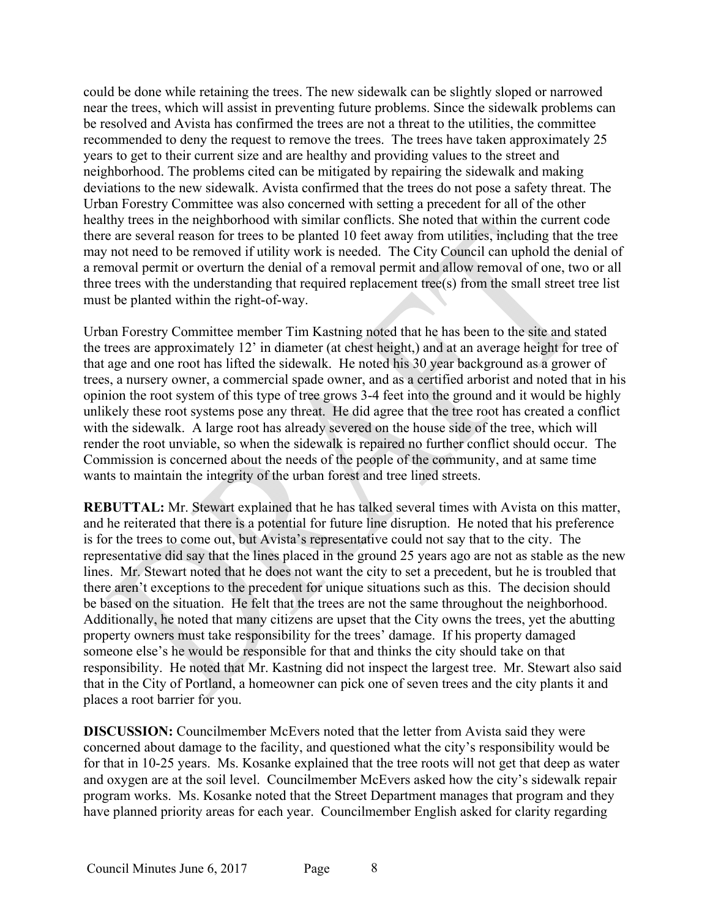could be done while retaining the trees. The new sidewalk can be slightly sloped or narrowed near the trees, which will assist in preventing future problems. Since the sidewalk problems can be resolved and Avista has confirmed the trees are not a threat to the utilities, the committee recommended to deny the request to remove the trees. The trees have taken approximately 25 years to get to their current size and are healthy and providing values to the street and neighborhood. The problems cited can be mitigated by repairing the sidewalk and making deviations to the new sidewalk. Avista confirmed that the trees do not pose a safety threat. The Urban Forestry Committee was also concerned with setting a precedent for all of the other healthy trees in the neighborhood with similar conflicts. She noted that within the current code there are several reason for trees to be planted 10 feet away from utilities, including that the tree may not need to be removed if utility work is needed. The City Council can uphold the denial of a removal permit or overturn the denial of a removal permit and allow removal of one, two or all three trees with the understanding that required replacement tree(s) from the small street tree list must be planted within the right-of-way.

Urban Forestry Committee member Tim Kastning noted that he has been to the site and stated the trees are approximately 12' in diameter (at chest height,) and at an average height for tree of that age and one root has lifted the sidewalk. He noted his 30 year background as a grower of trees, a nursery owner, a commercial spade owner, and as a certified arborist and noted that in his opinion the root system of this type of tree grows 3-4 feet into the ground and it would be highly unlikely these root systems pose any threat. He did agree that the tree root has created a conflict with the sidewalk. A large root has already severed on the house side of the tree, which will render the root unviable, so when the sidewalk is repaired no further conflict should occur. The Commission is concerned about the needs of the people of the community, and at same time wants to maintain the integrity of the urban forest and tree lined streets.

**REBUTTAL:** Mr. Stewart explained that he has talked several times with Avista on this matter, and he reiterated that there is a potential for future line disruption. He noted that his preference is for the trees to come out, but Avista's representative could not say that to the city. The representative did say that the lines placed in the ground 25 years ago are not as stable as the new lines. Mr. Stewart noted that he does not want the city to set a precedent, but he is troubled that there aren't exceptions to the precedent for unique situations such as this. The decision should be based on the situation. He felt that the trees are not the same throughout the neighborhood. Additionally, he noted that many citizens are upset that the City owns the trees, yet the abutting property owners must take responsibility for the trees' damage. If his property damaged someone else's he would be responsible for that and thinks the city should take on that responsibility. He noted that Mr. Kastning did not inspect the largest tree. Mr. Stewart also said that in the City of Portland, a homeowner can pick one of seven trees and the city plants it and places a root barrier for you.

**DISCUSSION:** Councilmember McEvers noted that the letter from Avista said they were concerned about damage to the facility, and questioned what the city's responsibility would be for that in 10-25 years. Ms. Kosanke explained that the tree roots will not get that deep as water and oxygen are at the soil level. Councilmember McEvers asked how the city's sidewalk repair program works. Ms. Kosanke noted that the Street Department manages that program and they have planned priority areas for each year. Councilmember English asked for clarity regarding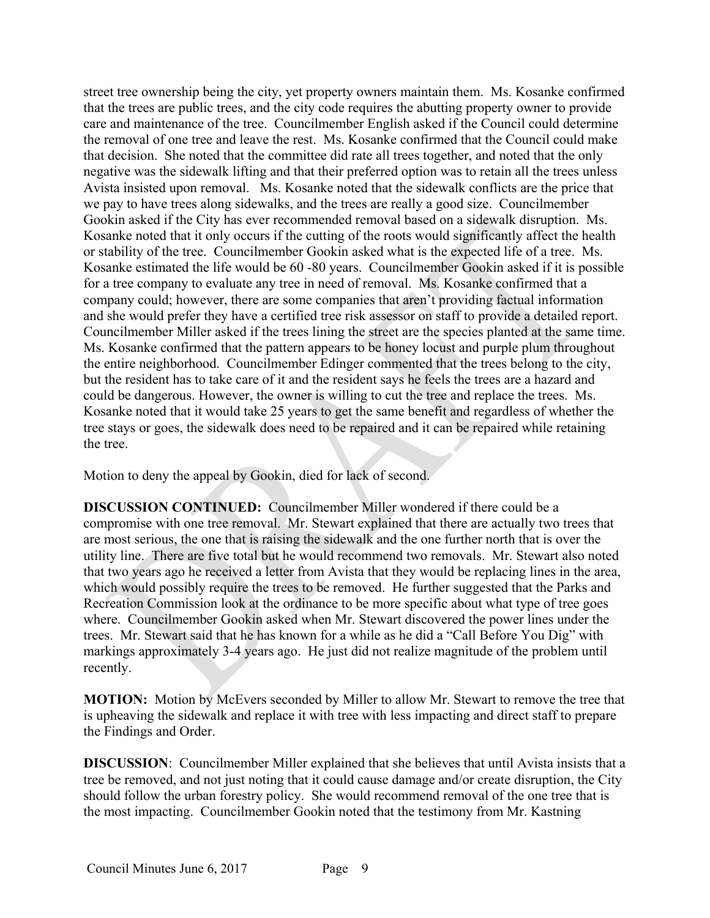street tree ownership being the city, yet property owners maintain them. Ms. Kosanke confirmed that the trees are public trees, and the city code requires the abutting property owner to provide care and maintenance of the tree. Councilmember English asked if the Council could determine the removal of one tree and leave the rest. Ms. Kosanke confirmed that the Council could make that decision. She noted that the committee did rate all trees together, and noted that the only negative was the sidewalk lifting and that their preferred option was to retain all the trees unless Avista insisted upon removal. Ms. Kosanke noted that the sidewalk conflicts are the price that we pay to have trees along sidewalks, and the trees are really a good size. Councilmember Gookin asked if the City has ever recommended removal based on a sidewalk disruption. Ms. Kosanke noted that it only occurs if the cutting of the roots would significantly affect the health or stability of the tree. Councilmember Gookin asked what is the expected life of a tree. Ms. Kosanke estimated the life would be 60 -80 years. Councilmember Gookin asked if it is possible for a tree company to evaluate any tree in need of removal. Ms. Kosanke confirmed that a company could; however, there are some companies that aren't providing factual information and she would prefer they have a certified tree risk assessor on staff to provide a detailed report. Councilmember Miller asked if the trees lining the street are the species planted at the same time. Ms. Kosanke confirmed that the pattern appears to be honey locust and purple plum throughout the entire neighborhood. Councilmember Edinger commented that the trees belong to the city, but the resident has to take care of it and the resident says he feels the trees are a hazard and could be dangerous. However, the owner is willing to cut the tree and replace the trees. Ms. Kosanke noted that it would take 25 years to get the same benefit and regardless of whether the tree stays or goes, the sidewalk does need to be repaired and it can be repaired while retaining the tree.

Motion to deny the appeal by Gookin, died for lack of second.

**DISCUSSION CONTINUED:** Councilmember Miller wondered if there could be a compromise with one tree removal. Mr. Stewart explained that there are actually two trees that are most serious, the one that is raising the sidewalk and the one further north that is over the utility line. There are five total but he would recommend two removals. Mr. Stewart also noted that two years ago he received a letter from Avista that they would be replacing lines in the area, which would possibly require the trees to be removed. He further suggested that the Parks and Recreation Commission look at the ordinance to be more specific about what type of tree goes where. Councilmember Gookin asked when Mr. Stewart discovered the power lines under the trees. Mr. Stewart said that he has known for a while as he did a "Call Before You Dig" with markings approximately 3-4 years ago. He just did not realize magnitude of the problem until recently.

**MOTION:** Motion by McEvers seconded by Miller to allow Mr. Stewart to remove the tree that is upheaving the sidewalk and replace it with tree with less impacting and direct staff to prepare the Findings and Order.

**DISCUSSION**: Councilmember Miller explained that she believes that until Avista insists that a tree be removed, and not just noting that it could cause damage and/or create disruption, the City should follow the urban forestry policy. She would recommend removal of the one tree that is the most impacting. Councilmember Gookin noted that the testimony from Mr. Kastning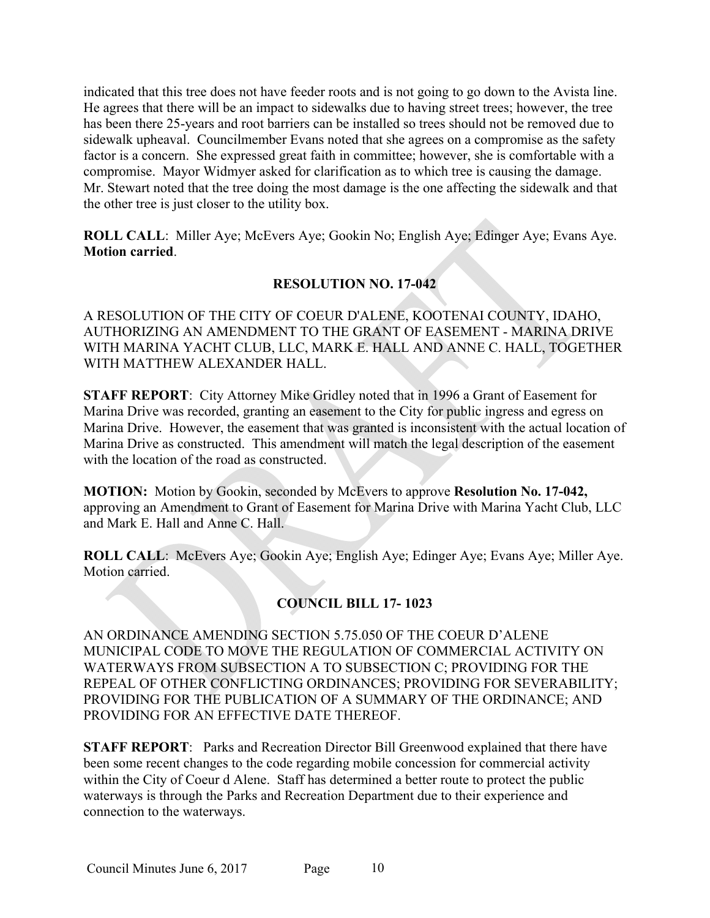indicated that this tree does not have feeder roots and is not going to go down to the Avista line. He agrees that there will be an impact to sidewalks due to having street trees; however, the tree has been there 25-years and root barriers can be installed so trees should not be removed due to sidewalk upheaval. Councilmember Evans noted that she agrees on a compromise as the safety factor is a concern. She expressed great faith in committee; however, she is comfortable with a compromise. Mayor Widmyer asked for clarification as to which tree is causing the damage. Mr. Stewart noted that the tree doing the most damage is the one affecting the sidewalk and that the other tree is just closer to the utility box.

**ROLL CALL**: Miller Aye; McEvers Aye; Gookin No; English Aye; Edinger Aye; Evans Aye. **Motion carried**.

# **RESOLUTION NO. 17-042**

A RESOLUTION OF THE CITY OF COEUR D'ALENE, KOOTENAI COUNTY, IDAHO, AUTHORIZING AN AMENDMENT TO THE GRANT OF EASEMENT - MARINA DRIVE WITH MARINA YACHT CLUB, LLC, MARK E. HALL AND ANNE C. HALL, TOGETHER WITH MATTHEW ALEXANDER HALL.

**STAFF REPORT**: City Attorney Mike Gridley noted that in 1996 a Grant of Easement for Marina Drive was recorded, granting an easement to the City for public ingress and egress on Marina Drive. However, the easement that was granted is inconsistent with the actual location of Marina Drive as constructed. This amendment will match the legal description of the easement with the location of the road as constructed.

**MOTION:** Motion by Gookin, seconded by McEvers to approve **Resolution No. 17-042,**  approving an Amendment to Grant of Easement for Marina Drive with Marina Yacht Club, LLC and Mark E. Hall and Anne C. Hall.

**ROLL CALL**: McEvers Aye; Gookin Aye; English Aye; Edinger Aye; Evans Aye; Miller Aye. Motion carried.

# **COUNCIL BILL 17- 1023**

AN ORDINANCE AMENDING SECTION 5.75.050 OF THE COEUR D'ALENE MUNICIPAL CODE TO MOVE THE REGULATION OF COMMERCIAL ACTIVITY ON WATERWAYS FROM SUBSECTION A TO SUBSECTION C; PROVIDING FOR THE REPEAL OF OTHER CONFLICTING ORDINANCES; PROVIDING FOR SEVERABILITY; PROVIDING FOR THE PUBLICATION OF A SUMMARY OF THE ORDINANCE; AND PROVIDING FOR AN EFFECTIVE DATE THEREOF.

**STAFF REPORT**: Parks and Recreation Director Bill Greenwood explained that there have been some recent changes to the code regarding mobile concession for commercial activity within the City of Coeur d Alene. Staff has determined a better route to protect the public waterways is through the Parks and Recreation Department due to their experience and connection to the waterways.